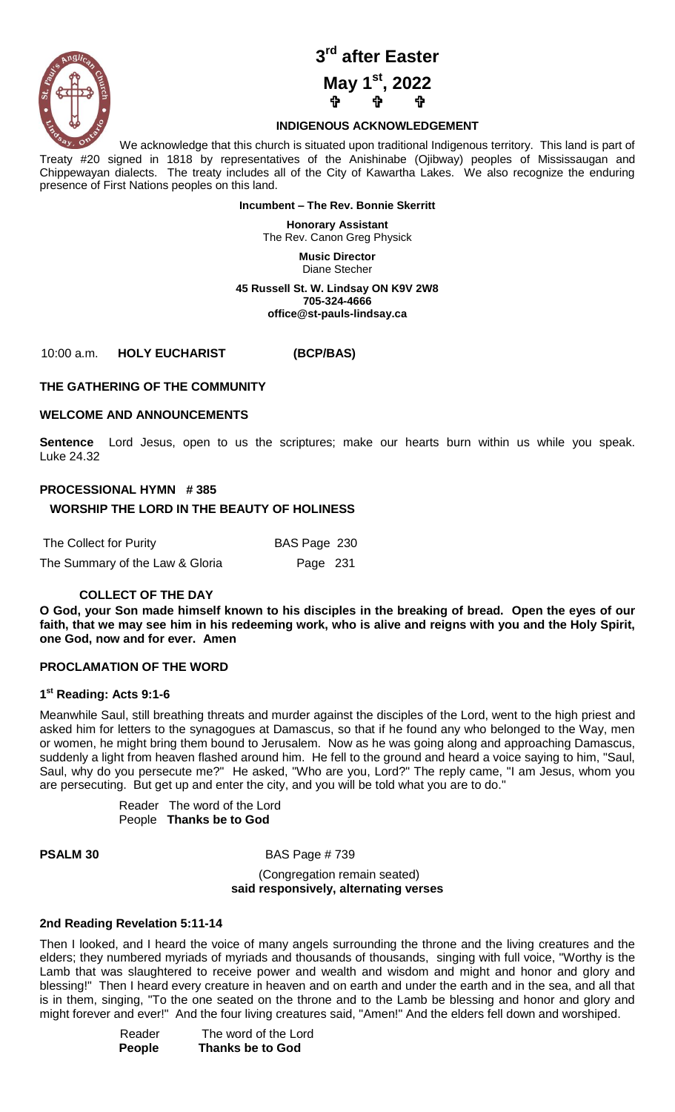

# **3 rd after Easter May 1st , 2022 ታ \$ \$**

## **INDIGENOUS ACKNOWLEDGEMENT**

We acknowledge that this church is situated upon traditional Indigenous territory. This land is part of Treaty #20 signed in 1818 by representatives of the Anishinabe (Ojibway) peoples of Mississaugan and Chippewayan dialects. The treaty includes all of the City of Kawartha Lakes. We also recognize the enduring presence of First Nations peoples on this land.

## **Incumbent – The Rev. Bonnie Skerritt**

**Honorary Assistant**  The Rev. Canon Greg Physick

> **Music Director** Diane Stecher

# **45 Russell St. W. Lindsay ON K9V 2W8**

**705-324-4666 office@st-pauls-lindsay.ca**

10:00 a.m. **HOLY EUCHARIST (BCP/BAS)** 

## **THE GATHERING OF THE COMMUNITY**

## **WELCOME AND ANNOUNCEMENTS**

**Sentence** Lord Jesus, open to us the scriptures; make our hearts burn within us while you speak. Luke 24.32

# **PROCESSIONAL HYMN # 385**

# **WORSHIP THE LORD IN THE BEAUTY OF HOLINESS**

| The Collect for Purity          | BAS Page 230 |
|---------------------------------|--------------|
| The Summary of the Law & Gloria | Page 231     |

# **COLLECT OF THE DAY**

**O God, your Son made himself known to his disciples in the breaking of bread. Open the eyes of our faith, that we may see him in his redeeming work, who is alive and reigns with you and the Holy Spirit, one God, now and for ever. Amen**

## **PROCLAMATION OF THE WORD**

## **1 st Reading: Acts 9:1-6**

Meanwhile Saul, still breathing threats and murder against the disciples of the Lord, went to the high priest and asked him for letters to the synagogues at Damascus, so that if he found any who belonged to the Way, men or women, he might bring them bound to Jerusalem. Now as he was going along and approaching Damascus, suddenly a light from heaven flashed around him. He fell to the ground and heard a voice saying to him, "Saul, Saul, why do you persecute me?" He asked, "Who are you, Lord?" The reply came, "I am Jesus, whom you are persecuting. But get up and enter the city, and you will be told what you are to do."

> Reader The word of the Lord People **Thanks be to God**

**PSALM 30 BAS Page # 739** 

## (Congregation remain seated) **said responsively, alternating verses**

## **2nd Reading Revelation 5:11-14**

Then I looked, and I heard the voice of many angels surrounding the throne and the living creatures and the elders; they numbered myriads of myriads and thousands of thousands, singing with full voice, "Worthy is the Lamb that was slaughtered to receive power and wealth and wisdom and might and honor and glory and blessing!" Then I heard every creature in heaven and on earth and under the earth and in the sea, and all that is in them, singing, "To the one seated on the throne and to the Lamb be blessing and honor and glory and might forever and ever!" And the four living creatures said, "Amen!" And the elders fell down and worshiped.

| Reader        | The word of the Lord    |
|---------------|-------------------------|
| <b>People</b> | <b>Thanks be to God</b> |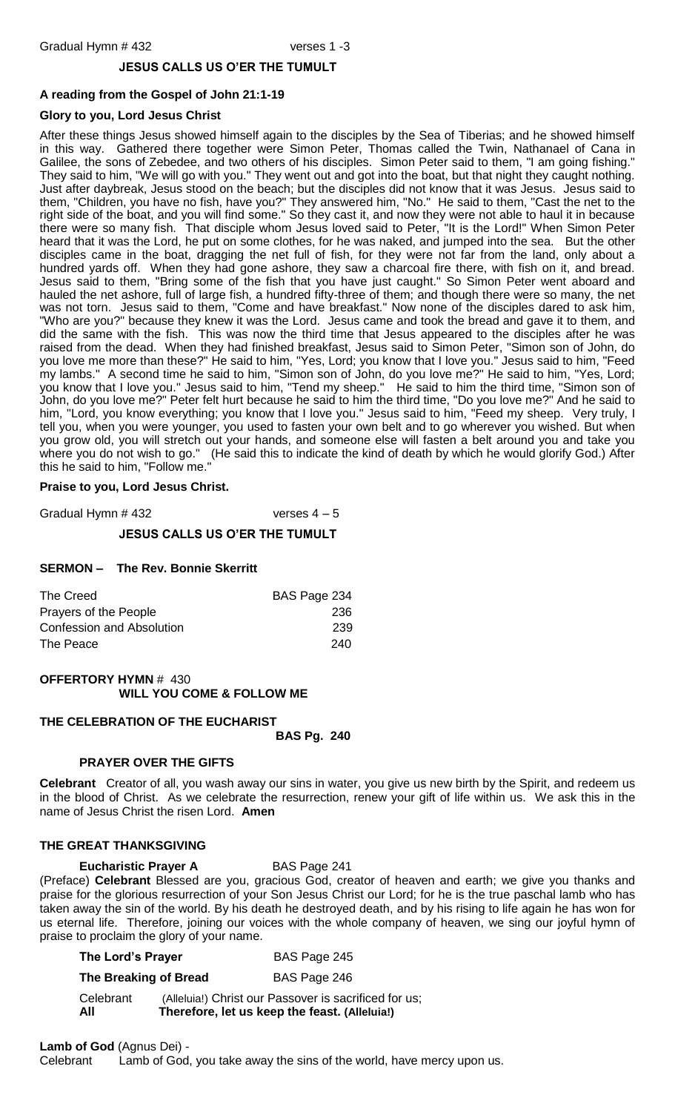## **JESUS CALLS US O'ER THE TUMULT**

## **A reading from the Gospel of John 21:1-19**

## **Glory to you, Lord Jesus Christ**

After these things Jesus showed himself again to the disciples by the Sea of Tiberias; and he showed himself in this way. Gathered there together were Simon Peter, Thomas called the Twin, Nathanael of Cana in Galilee, the sons of Zebedee, and two others of his disciples. Simon Peter said to them, "I am going fishing." They said to him, "We will go with you." They went out and got into the boat, but that night they caught nothing. Just after daybreak, Jesus stood on the beach; but the disciples did not know that it was Jesus. Jesus said to them, "Children, you have no fish, have you?" They answered him, "No." He said to them, "Cast the net to the right side of the boat, and you will find some." So they cast it, and now they were not able to haul it in because there were so many fish. That disciple whom Jesus loved said to Peter, "It is the Lord!" When Simon Peter heard that it was the Lord, he put on some clothes, for he was naked, and jumped into the sea. But the other disciples came in the boat, dragging the net full of fish, for they were not far from the land, only about a hundred yards off. When they had gone ashore, they saw a charcoal fire there, with fish on it, and bread. Jesus said to them, "Bring some of the fish that you have just caught." So Simon Peter went aboard and hauled the net ashore, full of large fish, a hundred fifty-three of them; and though there were so many, the net was not torn. Jesus said to them, "Come and have breakfast." Now none of the disciples dared to ask him, "Who are you?" because they knew it was the Lord. Jesus came and took the bread and gave it to them, and did the same with the fish. This was now the third time that Jesus appeared to the disciples after he was raised from the dead. When they had finished breakfast, Jesus said to Simon Peter, "Simon son of John, do you love me more than these?" He said to him, "Yes, Lord; you know that I love you." Jesus said to him, "Feed my lambs." A second time he said to him, "Simon son of John, do you love me?" He said to him, "Yes, Lord; you know that I love you." Jesus said to him, "Tend my sheep." He said to him the third time, "Simon son of John, do you love me?" Peter felt hurt because he said to him the third time, "Do you love me?" And he said to him, "Lord, you know everything; you know that I love you." Jesus said to him, "Feed my sheep. Very truly, I tell you, when you were younger, you used to fasten your own belt and to go wherever you wished. But when you grow old, you will stretch out your hands, and someone else will fasten a belt around you and take you where you do not wish to go." (He said this to indicate the kind of death by which he would glorify God.) After this he said to him, "Follow me."

## **Praise to you, Lord Jesus Christ.**

Gradual Hymn  $\#$  432 verses  $4-5$ 

#### **JESUS CALLS US O'ER THE TUMULT**

## **SERMON – The Rev. Bonnie Skerritt**

| The Creed                 | BAS Page 234 |
|---------------------------|--------------|
| Prayers of the People     | 236          |
| Confession and Absolution | 239          |
| The Peace                 | 240          |

## **OFFERTORY HYMN** # 430 **WILL YOU COME & FOLLOW ME**

## **THE CELEBRATION OF THE EUCHARIST**

 **BAS Pg. 240**

# **PRAYER OVER THE GIFTS**

**Celebrant** Creator of all, you wash away our sins in water, you give us new birth by the Spirit, and redeem us in the blood of Christ. As we celebrate the resurrection, renew your gift of life within us. We ask this in the name of Jesus Christ the risen Lord. **Amen**

## **THE GREAT THANKSGIVING**

## **Eucharistic Prayer A** BAS Page 241

(Preface) **Celebrant** Blessed are you, gracious God, creator of heaven and earth; we give you thanks and praise for the glorious resurrection of your Son Jesus Christ our Lord; for he is the true paschal lamb who has taken away the sin of the world. By his death he destroyed death, and by his rising to life again he has won for us eternal life. Therefore, joining our voices with the whole company of heaven, we sing our joyful hymn of praise to proclaim the glory of your name.

| All                   | Therefore, let us keep the feast. (Alleluia!)         |              |
|-----------------------|-------------------------------------------------------|--------------|
| Celebrant             | (Alleluia!) Christ our Passover is sacrificed for us; |              |
| The Breaking of Bread |                                                       | BAS Page 246 |
| The Lord's Prayer     |                                                       | BAS Page 245 |

**Lamb of God** (Agnus Dei) -

Celebrant Lamb of God, you take away the sins of the world, have mercy upon us.